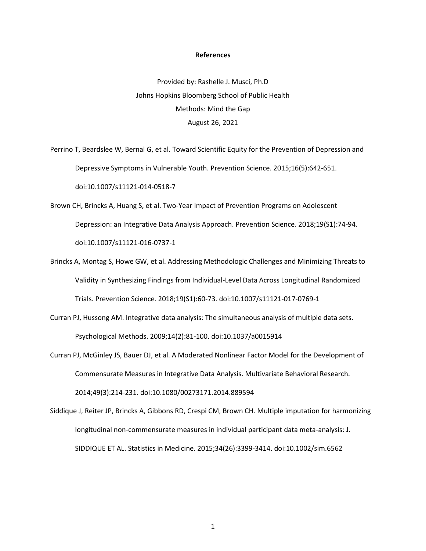## **References**

Provided by: Rashelle J. Musci, Ph.D Johns Hopkins Bloomberg School of Public Health Methods: Mind the Gap August 26, 2021

Perrino T, Beardslee W, Bernal G, et al. Toward Scientific Equity for the Prevention of Depression and Depressive Symptoms in Vulnerable Youth. Prevention Science. 2015;16(5):642-651. doi:10.1007/s11121-014-0518-7

- Brown CH, Brincks A, Huang S, et al. Two-Year Impact of Prevention Programs on Adolescent Depression: an Integrative Data Analysis Approach. Prevention Science. 2018;19(S1):74-94. doi:10.1007/s11121-016-0737-1
- Brincks A, Montag S, Howe GW, et al. Addressing Methodologic Challenges and Minimizing Threats to Validity in Synthesizing Findings from Individual-Level Data Across Longitudinal Randomized Trials. Prevention Science. 2018;19(S1):60-73. doi:10.1007/s11121-017-0769-1
- Curran PJ, Hussong AM. Integrative data analysis: The simultaneous analysis of multiple data sets. Psychological Methods. 2009;14(2):81-100. doi:10.1037/a0015914
- Curran PJ, McGinley JS, Bauer DJ, et al. A Moderated Nonlinear Factor Model for the Development of Commensurate Measures in Integrative Data Analysis. Multivariate Behavioral Research. 2014;49(3):214-231. doi:10.1080/00273171.2014.889594
- Siddique J, Reiter JP, Brincks A, Gibbons RD, Crespi CM, Brown CH. Multiple imputation for harmonizing longitudinal non-commensurate measures in individual participant data meta-analysis: J. SIDDIQUE ET AL. Statistics in Medicine. 2015;34(26):3399-3414. doi:10.1002/sim.6562